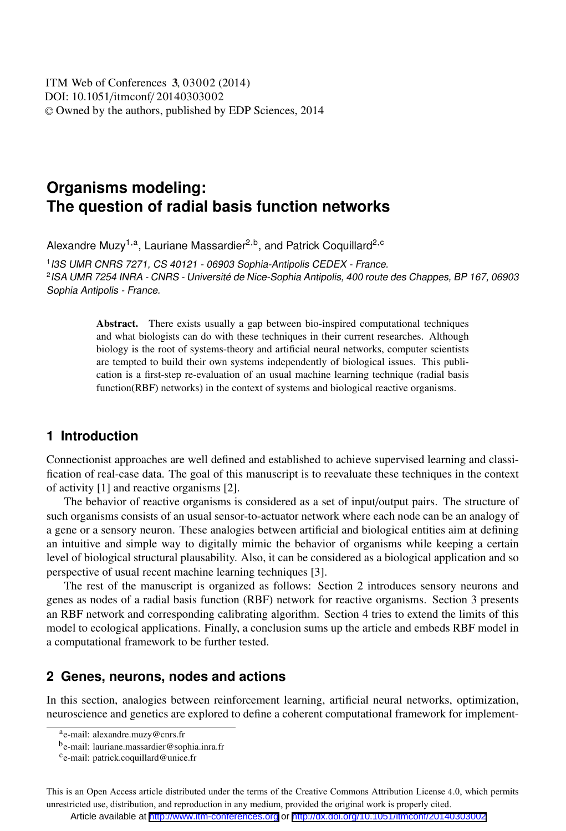DOI: 10.1051/itmconf/ 20140303002 -<sup>C</sup> Owned by the authors, published by EDP Sciences, 2014 , 03002 (2014) ITM Web of Conferences **3**

# **Organisms modeling: The question of radial basis function networks**

Alexandre Muzy<sup>1,a</sup>, Lauriane Massardier<sup>2,b</sup>, and Patrick Coquillard<sup>2,c</sup>

<sup>1</sup> I3S UMR CNRS 7271, CS 40121 - 06903 Sophia-Antipolis CEDEX - France. <sup>2</sup>ISA UMR <sup>7254</sup> INRA - CNRS - Université de Nice-Sophia Antipolis, <sup>400</sup> route des Chappes, BP 167, <sup>06903</sup> Sophia Antipolis - France.

> Abstract. There exists usually a gap between bio-inspired computational techniques and what biologists can do with these techniques in their current researches. Although biology is the root of systems-theory and artificial neural networks, computer scientists are tempted to build their own systems independently of biological issues. This publication is a first-step re-evaluation of an usual machine learning technique (radial basis function(RBF) networks) in the context of systems and biological reactive organisms.

# **1 Introduction**

Connectionist approaches are well defined and established to achieve supervised learning and classification of real-case data. The goal of this manuscript is to reevaluate these techniques in the context of activity [1] and reactive organisms [2].

The behavior of reactive organisms is considered as a set of input/output pairs. The structure of such organisms consists of an usual sensor-to-actuator network where each node can be an analogy of a gene or a sensory neuron. These analogies between artificial and biological entities aim at defining an intuitive and simple way to digitally mimic the behavior of organisms while keeping a certain level of biological structural plausability. Also, it can be considered as a biological application and so perspective of usual recent machine learning techniques [3].

The rest of the manuscript is organized as follows: Section 2 introduces sensory neurons and genes as nodes of a radial basis function (RBF) network for reactive organisms. Section 3 presents an RBF network and corresponding calibrating algorithm. Section 4 tries to extend the limits of this model to ecological applications. Finally, a conclusion sums up the article and embeds RBF model in a computational framework to be further tested.

# **2 Genes, neurons, nodes and actions**

In this section, analogies between reinforcement learning, artificial neural networks, optimization, neuroscience and genetics are explored to define a coherent computational framework for implement-

This is an Open Access article distributed under the terms of the Creative Commons Attribution License 4.0, which permits unrestricted use, distribution, and reproduction in any medium, provided the original work is properly cited.

Article available at <http://www.itm-conferences.org> or <http://dx.doi.org/10.1051/itmconf/20140303002>

ae-mail: alexandre.muzy@cnrs.fr

be-mail: lauriane.massardier@sophia.inra.fr

ce-mail: patrick.coquillard@unice.fr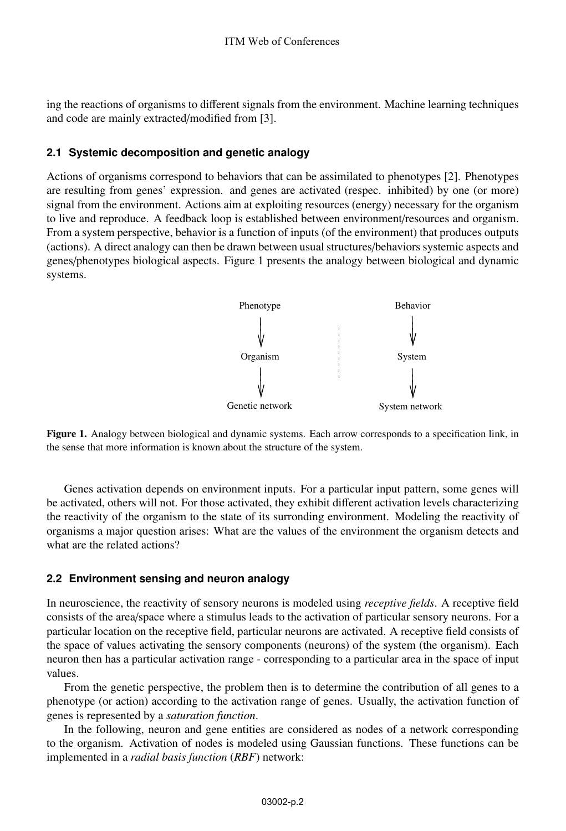ing the reactions of organisms to different signals from the environment. Machine learning techniques and code are mainly extracted/modified from [3].

### **2.1 Systemic decomposition and genetic analogy**

Actions of organisms correspond to behaviors that can be assimilated to phenotypes [2]. Phenotypes are resulting from genes' expression. and genes are activated (respec. inhibited) by one (or more) signal from the environment. Actions aim at exploiting resources (energy) necessary for the organism to live and reproduce. A feedback loop is established between environment/resources and organism. From a system perspective, behavior is a function of inputs (of the environment) that produces outputs (actions). A direct analogy can then be drawn between usual structures/behaviors systemic aspects and genes/phenotypes biological aspects. Figure 1 presents the analogy between biological and dynamic systems.



Figure 1. Analogy between biological and dynamic systems. Each arrow corresponds to a specification link, in the sense that more information is known about the structure of the system.

Genes activation depends on environment inputs. For a particular input pattern, some genes will be activated, others will not. For those activated, they exhibit different activation levels characterizing the reactivity of the organism to the state of its surronding environment. Modeling the reactivity of organisms a major question arises: What are the values of the environment the organism detects and what are the related actions?

### **2.2 Environment sensing and neuron analogy**

In neuroscience, the reactivity of sensory neurons is modeled using *receptive fields*. A receptive field consists of the area/space where a stimulus leads to the activation of particular sensory neurons. For a particular location on the receptive field, particular neurons are activated. A receptive field consists of the space of values activating the sensory components (neurons) of the system (the organism). Each neuron then has a particular activation range - corresponding to a particular area in the space of input values.

From the genetic perspective, the problem then is to determine the contribution of all genes to a phenotype (or action) according to the activation range of genes. Usually, the activation function of genes is represented by a *saturation function*.

In the following, neuron and gene entities are considered as nodes of a network corresponding to the organism. Activation of nodes is modeled using Gaussian functions. These functions can be implemented in a *radial basis function* (*RBF*) network: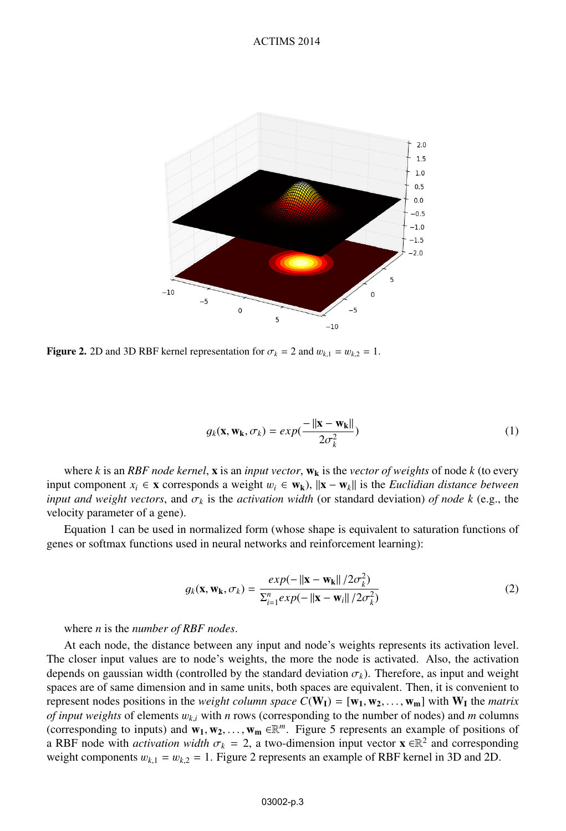#### ACTIMS 2014



Figure 2. 2D and 3D RBF kernel representation for  $\sigma_k = 2$  and  $w_{k,1} = w_{k,2} = 1$ .

$$
g_k(\mathbf{x}, \mathbf{w}_k, \sigma_k) = exp(\frac{-\|\mathbf{x} - \mathbf{w}_k\|}{2\sigma_k^2})
$$
 (1)

where *k* is an *RBF node kernel*, **x** is an *input vector*,  $w_k$  is the *vector of weights* of node *k* (to every input component *x<sub>i</sub>* ∈ **x** corresponds a weight  $w_i$  ∈ **w**<sub>k</sub>),  $||$ **x** − **w**<sub>k</sub> $||$  is the *Euclidian distance between* input and weight vectors, and  $\sigma$ , is the activation width (or standard deviation) of node *k* (e. *input and weight vectors*, and <sup>σ</sup>*<sup>k</sup>* is the *activation width* (or standard deviation) *of node k* (e.g., the velocity parameter of a gene).

Equation 1 can be used in normalized form (whose shape is equivalent to saturation functions of genes or softmax functions used in neural networks and reinforcement learning):

$$
g_k(\mathbf{x}, \mathbf{w}_k, \sigma_k) = \frac{exp(-\left\|\mathbf{x} - \mathbf{w}_k\right\|/2\sigma_k^2)}{\sum_{i=1}^n exp(-\left\|\mathbf{x} - \mathbf{w}_i\right\|/2\sigma_k^2)}
$$
(2)

where *n* is the *number of RBF nodes*.

At each node, the distance between any input and node's weights represents its activation level. The closer input values are to node's weights, the more the node is activated. Also, the activation depends on gaussian width (controlled by the standard deviation  $\sigma_k$ ). Therefore, as input and weight spaces are of same dimension and in same units, both spaces are equivalent. Then, it is convenient to represent nodes positions in the *weight column space*  $C(W_1) = [w_1, w_2, ..., w_m]$  with  $W_1$  the *matrix of input weights* of elements <sup>w</sup>*<sup>k</sup>*,*<sup>i</sup>* with *<sup>n</sup>* rows (corresponding to the number of nodes) and *<sup>m</sup>* columns (corresponding to inputs) and  $w_1, w_2, \ldots, w_m \in \mathbb{R}^m$ . Figure 5 represents an example of positions of a RBF node with *activation width*  $\sigma_k = 2$ , a two-dimension input vector  $\mathbf{x} \in \mathbb{R}^2$  and corresponding weight components  $w_{k,1} = w_{k,2} = 1$ . Figure 2 represents an example of RBF kernel in 3D and 2D.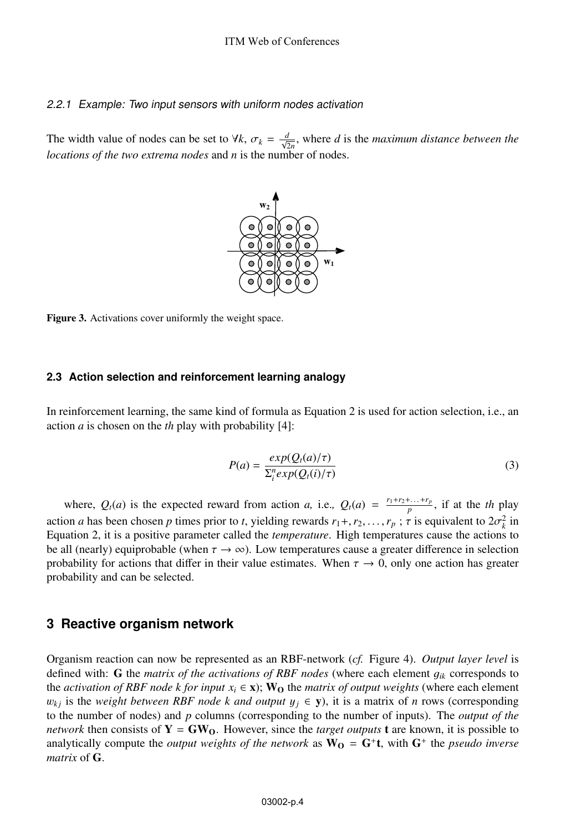### 2.2.1 Example: Two input sensors with uniform nodes activation

The width value of nodes can be set to  $\forall k$ ,  $\sigma_k = \frac{d}{\sqrt{2n}}$ , where *d* is the *maximum distance between the*<br>logations of the two extrems nodes and n is the number of nodes *locations of the two extrema nodes* and *n* is the number of nodes.



Figure 3. Activations cover uniformly the weight space.

#### **2.3 Action selection and reinforcement learning analogy**

In reinforcement learning, the same kind of formula as Equation 2 is used for action selection, i.e., an action *a* is chosen on the *th* play with probability [4]:

$$
P(a) = \frac{\exp(Q_t(a)/\tau)}{\sum_i^n \exp(Q_t(i)/\tau)}
$$
\n(3)

where,  $Q_t(a)$  is the expected reward from action *a*, i.e.,  $Q_t(a) = \frac{r_1 + r_2 + \ldots + r_p}{p}$ , if at the *th* play action *a* has been chosen *p* times prior to *t*, yielding rewards  $r_1 +, r_2, \ldots, r_p$ ;  $\tau$  is equivalent to  $2\sigma_k^2$  in Equation 2, it is a positive parameter called the *temperature*. High temperatures cause the actions Equation 2, it is a positive parameter called the *temperature*. High temperatures cause the actions to be all (nearly) equiprobable (when  $\tau \to \infty$ ). Low temperatures cause a greater difference in selection probability for actions that differ in their value estimates. When  $\tau \to 0$ , only one action has greater probability and can be selected.

# **3 Reactive organism network**

Organism reaction can now be represented as an RBF-network (*cf.* Figure 4). *Output layer level* is defined with: <sup>G</sup> the *matrix of the activations of RBF nodes* (where each element <sup>g</sup>*ik* corresponds to the *activation of RBF node k for input*  $x_i \in \mathbf{x}$ ); W<sub>O</sub> the *matrix of output weights* (where each element  $w_{ki}$  is the *weight between RBF node k and output*  $y_i \in y$ ), it is a matrix of *n* rows (corresponding to the number of nodes) and *p* columns (corresponding to the number of inputs). The *output of the network* then consists of  $Y = GW_0$ . However, since the *target outputs* **t** are known, it is possible to analytically compute the *output weights of the network* as  $W_0 = G^+t$ , with  $G^+$  the *pseudo inverse matrix* of G.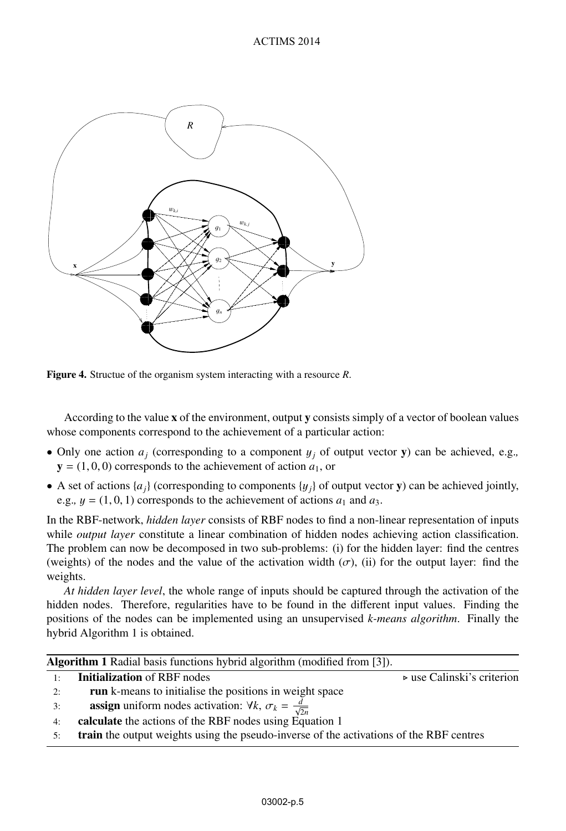

Figure 4. Structue of the organism system interacting with a resource *<sup>R</sup>*.

According to the value x of the environment, output y consists simply of a vector of boolean values whose components correspond to the achievement of a particular action:

- Only one action  $a_i$  (corresponding to a component  $y_i$  of output vector y) can be achieved, e.g.,  $y = (1, 0, 0)$  corresponds to the achievement of action  $a_1$ , or
- A set of actions  $\{a_i\}$  (corresponding to components  $\{y_i\}$  of output vector y) can be achieved jointly, e.g.,  $y = (1, 0, 1)$  corresponds to the achievement of actions  $a_1$  and  $a_3$ .

In the RBF-network, *hidden layer* consists of RBF nodes to find a non-linear representation of inputs while *output layer* constitute a linear combination of hidden nodes achieving action classification. The problem can now be decomposed in two sub-problems: (i) for the hidden layer: find the centres (weights) of the nodes and the value of the activation width  $(\sigma)$ , (ii) for the output layer: find the weights.

*At hidden layer level*, the whole range of inputs should be captured through the activation of the hidden nodes. Therefore, regularities have to be found in the different input values. Finding the positions of the nodes can be implemented using an unsupervised *k-means algorithm*. Finally the hybrid Algorithm 1 is obtained.

| <b>Algorithm 1</b> Radial basis functions hybrid algorithm (modified from [3]). |                                                                                                |                                           |
|---------------------------------------------------------------------------------|------------------------------------------------------------------------------------------------|-------------------------------------------|
| 1:                                                                              | <b>Initialization of RBF nodes</b>                                                             | $\triangleright$ use Calinski's criterion |
| 2:                                                                              | run k-means to initialise the positions in weight space                                        |                                           |
| 3:                                                                              | <b>assign</b> uniform nodes activation: $\forall k, \sigma_k = \frac{d}{\sqrt{2n}}$            |                                           |
| 4:                                                                              | calculate the actions of the RBF nodes using Equation 1                                        |                                           |
| 5:                                                                              | <b>train</b> the output weights using the pseudo-inverse of the activations of the RBF centres |                                           |
|                                                                                 |                                                                                                |                                           |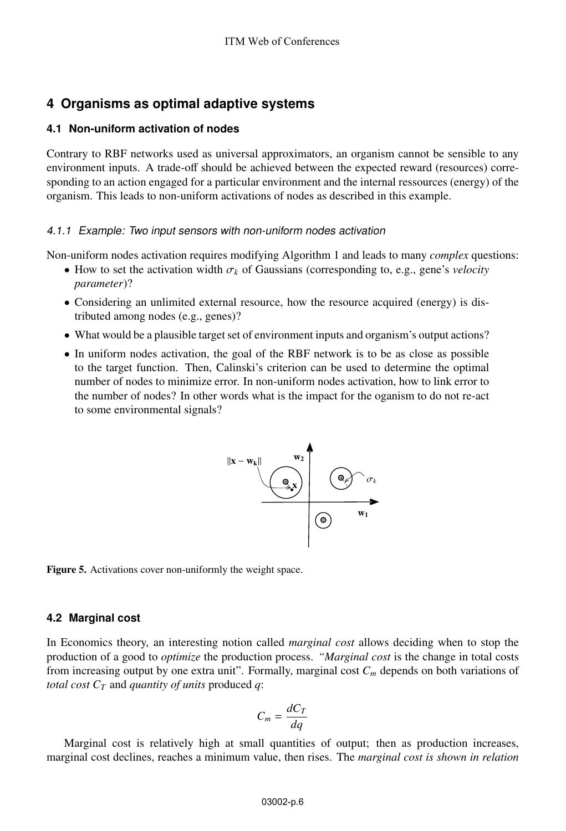# **4 Organisms as optimal adaptive systems**

### **4.1 Non-uniform activation of nodes**

Contrary to RBF networks used as universal approximators, an organism cannot be sensible to any environment inputs. A trade-off should be achieved between the expected reward (resources) corresponding to an action engaged for a particular environment and the internal ressources (energy) of the organism. This leads to non-uniform activations of nodes as described in this example.

### 4.1.1 Example: Two input sensors with non-uniform nodes activation

Non-uniform nodes activation requires modifying Algorithm 1 and leads to many *complex* questions:

- How to set the activation width  $\sigma_k$  of Gaussians (corresponding to, e.g., gene's *velocity parameter*)?
- Considering an unlimited external resource, how the resource acquired (energy) is distributed among nodes (e.g., genes)?
- What would be a plausible target set of environment inputs and organism's output actions?
- In uniform nodes activation, the goal of the RBF network is to be as close as possible to the target function. Then, Calinski's criterion can be used to determine the optimal number of nodes to minimize error. In non-uniform nodes activation, how to link error to the number of nodes? In other words what is the impact for the oganism to do not re-act to some environmental signals?



Figure 5. Activations cover non-uniformly the weight space.

### **4.2 Marginal cost**

In Economics theory, an interesting notion called *marginal cost* allows deciding when to stop the production of a good to *optimize* the production process. *"Marginal cost* is the change in total costs from increasing output by one extra unit". Formally, marginal cost *Cm* depends on both variations of *total cost*  $C_T$  and *quantity of units* produced *q*:

$$
C_m = \frac{dC_T}{dq}
$$

Marginal cost is relatively high at small quantities of output; then as production increases, marginal cost declines, reaches a minimum value, then rises. The *marginal cost is shown in relation*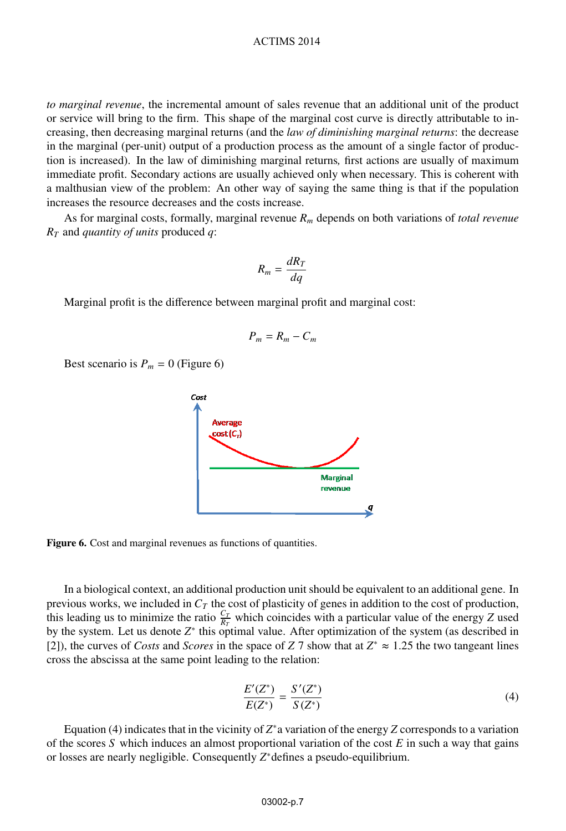#### ACTIMS 2014

*to marginal revenue*, the incremental amount of sales revenue that an additional unit of the product or service will bring to the firm. This shape of the marginal cost curve is directly attributable to increasing, then decreasing marginal returns (and the *law of diminishing marginal returns*: the decrease in the marginal (per-unit) output of a production process as the amount of a single factor of production is increased). In the law of diminishing marginal returns*,* first actions are usually of maximum immediate profit. Secondary actions are usually achieved only when necessary. This is coherent with a malthusian view of the problem: An other way of saying the same thing is that if the population increases the resource decreases and the costs increase.

As for marginal costs, formally, marginal revenue *Rm* depends on both variations of *total revenue RT* and *quantity of units* produced *q*:

$$
R_m = \frac{dR_T}{dq}
$$

Marginal profit is the difference between marginal profit and marginal cost:

$$
P_m = R_m - C_m
$$

Best scenario is  $P_m = 0$  (Figure 6)



Figure 6. Cost and marginal revenues as functions of quantities.

In a biological context, an additional production unit should be equivalent to an additional gene. In previous works, we included in  $C_T$  the cost of plasticity of genes in addition to the cost of production, this leading us to minimize the ratio  $\frac{C_T}{R_T}$  which coincides with a particular value of the energy *Z* used by the system. Let us denote *Z*<sup>∗</sup> this optimal value. After optimization of the system (as described in [2]), the curves of *Costs* and *Scores* in the space of *<sup>Z</sup>* 7 show that at *<sup>Z</sup>*<sup>∗</sup> <sup>≈</sup> <sup>1</sup>.25 the two tangeant lines cross the abscissa at the same point leading to the relation:

$$
\frac{E'(Z^*)}{E(Z^*)} = \frac{S'(Z^*)}{S(Z^*)}
$$
\n(4)

Equation (4) indicates that in the vicinity of *Z*<sup>∗</sup>a variation of the energy *Z* corresponds to a variation of the scores *S* which induces an almost proportional variation of the cost *E* in such a way that gains or losses are nearly negligible. Consequently *Z*<sup>∗</sup>defines a pseudo-equilibrium.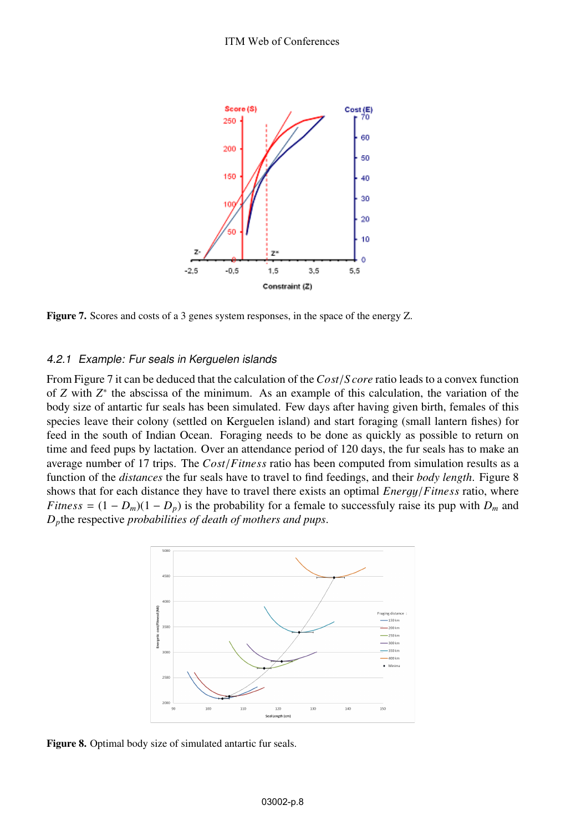

Figure 7. Scores and costs of a 3 genes system responses, in the space of the energy Z.

#### 4.2.1 Example: Fur seals in Kerguelen islands

From Figure 7 it can be deduced that the calculation of the *Cost*/*S core* ratio leads to a convex function of *Z* with *Z*<sup>∗</sup> the abscissa of the minimum. As an example of this calculation, the variation of the body size of antartic fur seals has been simulated. Few days after having given birth, females of this species leave their colony (settled on Kerguelen island) and start foraging (small lantern fishes) for feed in the south of Indian Ocean. Foraging needs to be done as quickly as possible to return on time and feed pups by lactation. Over an attendance period of 120 days, the fur seals has to make an average number of 17 trips. The *Cost*/*Fitness* ratio has been computed from simulation results as a function of the *distances* the fur seals have to travel to find feedings, and their *body length*. Figure 8 shows that for each distance they have to travel there exists an optimal *Ener*gy/*Fitness* ratio, where *Fitness* =  $(1 - D_m)(1 - D_p)$  is the probability for a female to successfuly raise its pup with  $D_m$  and *Dp*the respective *probabilities of death of mothers and pups*.



Figure 8. Optimal body size of simulated antartic fur seals.